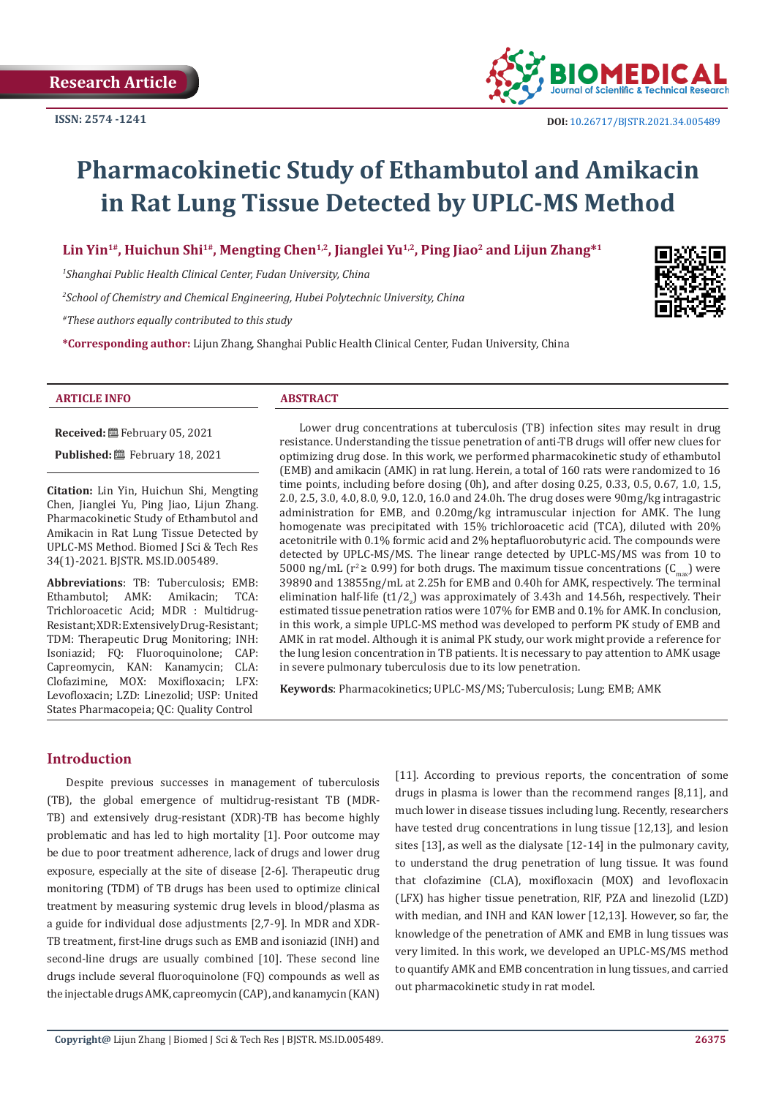

# **Pharmacokinetic Study of Ethambutol and Amikacin in Rat Lung Tissue Detected by UPLC-MS Method**

Lin Yin<sup>1#</sup>, Huichun Shi<sup>1#</sup>, Mengting Chen<sup>1,2</sup>, Jianglei Yu<sup>1,2</sup>, Ping Jiao<sup>2</sup> and Lijun Zhang\*<sup>1</sup>

*1 Shanghai Public Health Clinical Center, Fudan University, China*

*2 School of Chemistry and Chemical Engineering, Hubei Polytechnic University, China*

*#These authors equally contributed to this study*

**\*Corresponding author:** Lijun Zhang, Shanghai Public Health Clinical Center, Fudan University, China

# **ARTICLE INFO ABSTRACT**

**Received:** February 05, 2021

**Published:** February 18, 2021

**Citation:** Lin Yin, Huichun Shi, Mengting Chen, Jianglei Yu, Ping Jiao, Lijun Zhang. Pharmacokinetic Study of Ethambutol and Amikacin in Rat Lung Tissue Detected by UPLC-MS Method. Biomed J Sci & Tech Res 34(1)-2021. BJSTR. MS.ID.005489.

**Abbreviations**: TB: Tuberculosis; EMB:<br>Ethambutol: AMK: Amikacin: TCA: Ethambutol; AMK: Trichloroacetic Acid; MDR : Multidrug-Resistant; XDR: Extensively Drug-Resistant; TDM: Therapeutic Drug Monitoring; INH: Isoniazid; FQ: Fluoroquinolone; CAP: Capreomycin, KAN: Kanamycin; CLA: Clofazimine, MOX: Moxifloxacin; LFX: Levofloxacin; LZD: Linezolid; USP: United States Pharmacopeia; QC: Quality Control

Lower drug concentrations at tuberculosis (TB) infection sites may result in drug resistance. Understanding the tissue penetration of anti-TB drugs will offer new clues for optimizing drug dose. In this work, we performed pharmacokinetic study of ethambutol (EMB) and amikacin (AMK) in rat lung. Herein, a total of 160 rats were randomized to 16 time points, including before dosing (0h), and after dosing 0.25, 0.33, 0.5, 0.67, 1.0, 1.5, 2.0, 2.5, 3.0, 4.0, 8.0, 9.0, 12.0, 16.0 and 24.0h. The drug doses were 90mg/kg intragastric administration for EMB, and 0.20mg/kg intramuscular injection for AMK. The lung homogenate was precipitated with 15% trichloroacetic acid (TCA), diluted with 20% acetonitrile with 0.1% formic acid and 2% heptafluorobutyric acid. The compounds were detected by UPLC-MS/MS. The linear range detected by UPLC-MS/MS was from 10 to 5000 ng/mL ( $r^2 \ge 0.99$ ) for both drugs. The maximum tissue concentrations ( $C_{\text{max}}$ ) were 39890 and 13855ng/mL at 2.25h for EMB and 0.40h for AMK, respectively. The terminal elimination half-life  $(t1/2_z)$  was approximately of 3.43h and 14.56h, respectively. Their estimated tissue penetration ratios were 107% for EMB and 0.1% for AMK. In conclusion, in this work, a simple UPLC-MS method was developed to perform PK study of EMB and AMK in rat model. Although it is animal PK study, our work might provide a reference for the lung lesion concentration in TB patients. It is necessary to pay attention to AMK usage in severe pulmonary tuberculosis due to its low penetration.

**Keywords**: Pharmacokinetics; UPLC-MS/MS; Tuberculosis; Lung; EMB; AMK

# **Introduction**

Despite previous successes in management of tuberculosis (TB), the global emergence of multidrug-resistant TB (MDR-TB) and extensively drug-resistant (XDR)-TB has become highly problematic and has led to high mortality [1]. Poor outcome may be due to poor treatment adherence, lack of drugs and lower drug exposure, especially at the site of disease [2-6]. Therapeutic drug monitoring (TDM) of TB drugs has been used to optimize clinical treatment by measuring systemic drug levels in blood/plasma as a guide for individual dose adjustments [2,7-9]. In MDR and XDR-TB treatment, first-line drugs such as EMB and isoniazid (INH) and second-line drugs are usually combined [10]. These second line drugs include several fluoroquinolone (FQ) compounds as well as the injectable drugs AMK, capreomycin (CAP), and kanamycin (KAN)

[11]. According to previous reports, the concentration of some drugs in plasma is lower than the recommend ranges [8,11], and much lower in disease tissues including lung. Recently, researchers have tested drug concentrations in lung tissue [12,13], and lesion sites [13], as well as the dialysate [12-14] in the pulmonary cavity, to understand the drug penetration of lung tissue. It was found that clofazimine (CLA), moxifloxacin (MOX) and levofloxacin (LFX) has higher tissue penetration, RIF, PZA and linezolid (LZD) with median, and INH and KAN lower [12,13]. However, so far, the knowledge of the penetration of AMK and EMB in lung tissues was very limited. In this work, we developed an UPLC-MS/MS method to quantify AMK and EMB concentration in lung tissues, and carried out pharmacokinetic study in rat model.

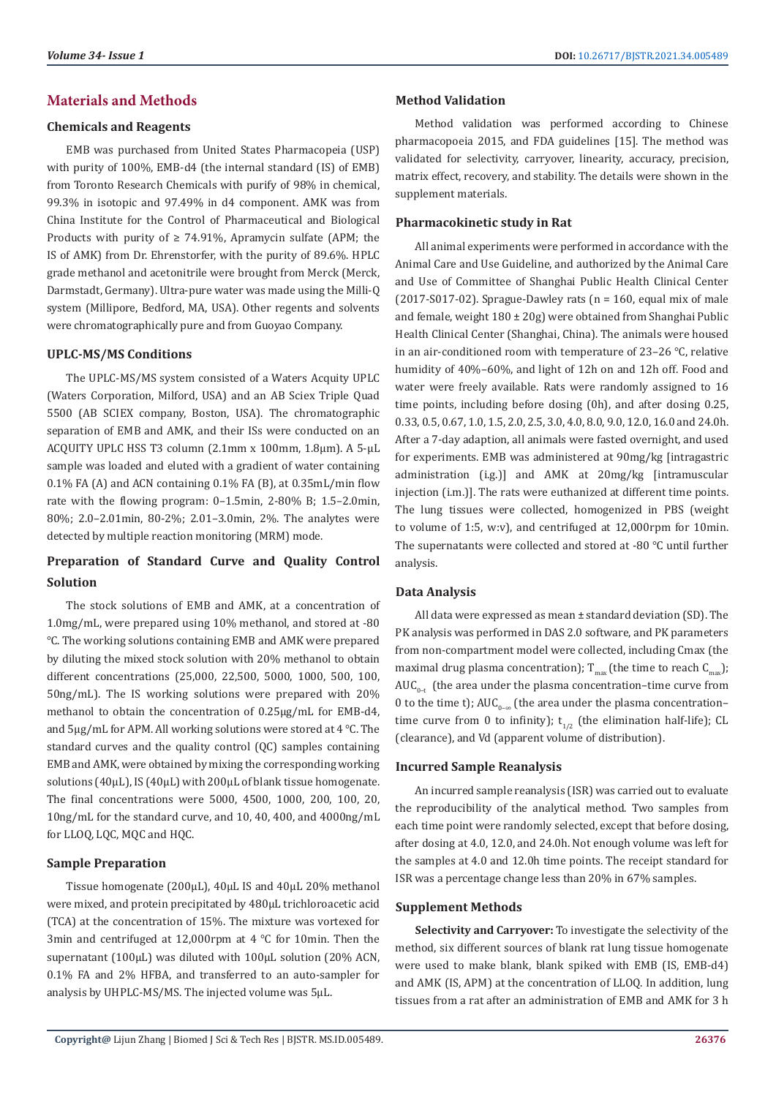# **Materials and Methods**

# **Chemicals and Reagents**

EMB was purchased from United States Pharmacopeia (USP) with purity of 100%, EMB-d4 (the internal standard (IS) of EMB) from Toronto Research Chemicals with purify of 98% in chemical, 99.3% in isotopic and 97.49% in d4 component. AMK was from China Institute for the Control of Pharmaceutical and Biological Products with purity of  $\geq 74.91\%$ . Apramycin sulfate (APM; the IS of AMK) from Dr. Ehrenstorfer, with the purity of 89.6%. HPLC grade methanol and acetonitrile were brought from Merck (Merck, Darmstadt, Germany). Ultra-pure water was made using the Milli-Q system (Millipore, Bedford, MA, USA). Other regents and solvents were chromatographically pure and from Guoyao Company.

# **UPLC-MS/MS Conditions**

The UPLC-MS/MS system consisted of a Waters Acquity UPLC (Waters Corporation, Milford, USA) and an AB Sciex Triple Quad 5500 (AB SCIEX company, Boston, USA). The chromatographic separation of EMB and AMK, and their ISs were conducted on an ACQUITY UPLC HSS T3 column (2.1mm x 100mm, 1.8µm). A 5-µL sample was loaded and eluted with a gradient of water containing 0.1% FA (A) and ACN containing 0.1% FA (B), at 0.35mL/min flow rate with the flowing program: 0–1.5min, 2-80% B; 1.5–2.0min, 80%; 2.0–2.01min, 80-2%; 2.01–3.0min, 2%. The analytes were detected by multiple reaction monitoring (MRM) mode.

# **Preparation of Standard Curve and Quality Control Solution**

The stock solutions of EMB and AMK, at a concentration of 1.0mg/mL, were prepared using 10% methanol, and stored at -80 ℃. The working solutions containing EMB and AMK were prepared by diluting the mixed stock solution with 20% methanol to obtain different concentrations (25,000, 22,500, 5000, 1000, 500, 100, 50ng/mL). The IS working solutions were prepared with 20% methanol to obtain the concentration of 0.25µg/mL for EMB-d4, and 5µg/mL for APM. All working solutions were stored at 4 ℃. The standard curves and the quality control (QC) samples containing EMB and AMK, were obtained by mixing the corresponding working solutions (40µL), IS (40µL) with 200µL of blank tissue homogenate. The final concentrations were 5000, 4500, 1000, 200, 100, 20, 10ng/mL for the standard curve, and 10, 40, 400, and 4000ng/mL for LLOQ, LQC, MQC and HQC.

#### **Sample Preparation**

Tissue homogenate (200µL), 40µL IS and 40µL 20% methanol were mixed, and protein precipitated by 480µL trichloroacetic acid (TCA) at the concentration of 15%. The mixture was vortexed for 3min and centrifuged at 12,000rpm at 4 ℃ for 10min. Then the supernatant (100µL) was diluted with 100µL solution (20% ACN, 0.1% FA and 2% HFBA, and transferred to an auto-sampler for analysis by UHPLC-MS/MS. The injected volume was 5µL.

# **Method Validation**

Method validation was performed according to Chinese pharmacopoeia 2015, and FDA guidelines [15]. The method was validated for selectivity, carryover, linearity, accuracy, precision, matrix effect, recovery, and stability. The details were shown in the supplement materials.

# **Pharmacokinetic study in Rat**

All animal experiments were performed in accordance with the Animal Care and Use Guideline, and authorized by the Animal Care and Use of Committee of Shanghai Public Health Clinical Center (2017-S017-02). Sprague-Dawley rats ( $n = 160$ , equal mix of male and female, weight 180 ± 20g) were obtained from Shanghai Public Health Clinical Center (Shanghai, China). The animals were housed in an air-conditioned room with temperature of 23–26 ℃, relative humidity of 40%–60%, and light of 12h on and 12h off. Food and water were freely available. Rats were randomly assigned to 16 time points, including before dosing (0h), and after dosing 0.25, 0.33, 0.5, 0.67, 1.0, 1.5, 2.0, 2.5, 3.0, 4.0, 8.0, 9.0, 12.0, 16.0 and 24.0h. After a 7-day adaption, all animals were fasted overnight, and used for experiments. EMB was administered at 90mg/kg [intragastric administration (i.g.)] and AMK at 20mg/kg [intramuscular injection (i.m.)]. The rats were euthanized at different time points. The lung tissues were collected, homogenized in PBS (weight to volume of 1:5, w:v), and centrifuged at 12,000rpm for 10min. The supernatants were collected and stored at -80 ℃ until further analysis.

# **Data Analysis**

All data were expressed as mean ± standard deviation (SD). The PK analysis was performed in DAS 2.0 software, and PK parameters from non-compartment model were collected, including Cmax (the maximal drug plasma concentration);  $T_{max}$  (the time to reach  $C_{max}$ );  $AUC_{0-t}$  (the area under the plasma concentration–time curve from 0 to the time t);  $AUC_{0-\infty}$  (the area under the plasma concentration– time curve from 0 to infinity);  $t_{1/2}$  (the elimination half-life); CL (clearance), and Vd (apparent volume of distribution).

#### **Incurred Sample Reanalysis**

An incurred sample reanalysis (ISR) was carried out to evaluate the reproducibility of the analytical method. Two samples from each time point were randomly selected, except that before dosing, after dosing at 4.0, 12.0, and 24.0h. Not enough volume was left for the samples at 4.0 and 12.0h time points. The receipt standard for ISR was a percentage change less than 20% in 67% samples.

#### **Supplement Methods**

**Selectivity and Carryover:** To investigate the selectivity of the method, six different sources of blank rat lung tissue homogenate were used to make blank, blank spiked with EMB (IS, EMB-d4) and AMK (IS, APM) at the concentration of LLOQ. In addition, lung tissues from a rat after an administration of EMB and AMK for 3 h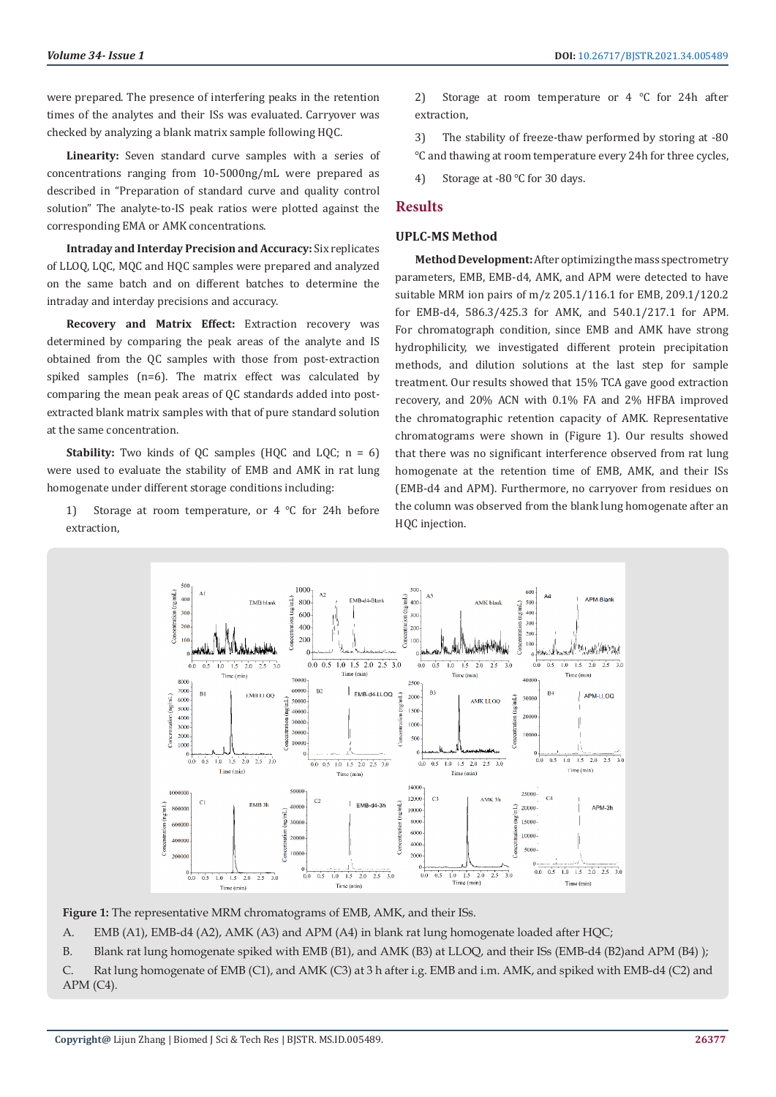were prepared. The presence of interfering peaks in the retention times of the analytes and their ISs was evaluated. Carryover was checked by analyzing a blank matrix sample following HQC.

**Linearity:** Seven standard curve samples with a series of concentrations ranging from 10-5000ng/mL were prepared as described in "Preparation of standard curve and quality control solution" The analyte-to-IS peak ratios were plotted against the corresponding EMA or AMK concentrations.

**Intraday and Interday Precision and Accuracy:** Six replicates of LLOQ, LQC, MQC and HQC samples were prepared and analyzed on the same batch and on different batches to determine the intraday and interday precisions and accuracy.

**Recovery and Matrix Effect:** Extraction recovery was determined by comparing the peak areas of the analyte and IS obtained from the QC samples with those from post-extraction spiked samples (n=6). The matrix effect was calculated by comparing the mean peak areas of QC standards added into postextracted blank matrix samples with that of pure standard solution at the same concentration.

**Stability:** Two kinds of OC samples (HOC and LOC;  $n = 6$ ) were used to evaluate the stability of EMB and AMK in rat lung homogenate under different storage conditions including:

1) Storage at room temperature, or 4 ℃ for 24h before extraction,

2) Storage at room temperature or 4 ℃ for 24h after extraction,

3) The stability of freeze-thaw performed by storing at -80 ℃ and thawing at room temperature every 24h for three cycles,

4) Storage at -80 ℃ for 30 days.

# **Results**

#### **UPLC-MS Method**

**Method Development:** After optimizing the mass spectrometry parameters, EMB, EMB-d4, AMK, and APM were detected to have suitable MRM ion pairs of m/z 205.1/116.1 for EMB, 209.1/120.2 for EMB-d4, 586.3/425.3 for AMK, and 540.1/217.1 for APM. For chromatograph condition, since EMB and AMK have strong hydrophilicity, we investigated different protein precipitation methods, and dilution solutions at the last step for sample treatment. Our results showed that 15% TCA gave good extraction recovery, and 20% ACN with 0.1% FA and 2% HFBA improved the chromatographic retention capacity of AMK. Representative chromatograms were shown in (Figure 1). Our results showed that there was no significant interference observed from rat lung homogenate at the retention time of EMB, AMK, and their ISs (EMB-d4 and APM). Furthermore, no carryover from residues on the column was observed from the blank lung homogenate after an HOC injection.



**Figure 1:** The representative MRM chromatograms of EMB, AMK, and their ISs.

A. EMB (A1), EMB-d4 (A2), AMK (A3) and APM (A4) in blank rat lung homogenate loaded after HQC;

B. Blank rat lung homogenate spiked with EMB (B1), and AMK (B3) at LLOQ, and their ISs (EMB-d4 (B2)and APM (B4) );

C. Rat lung homogenate of EMB (C1), and AMK (C3) at 3 h after i.g. EMB and i.m. AMK, and spiked with EMB-d4 (C2) and  $APM (C4)$ .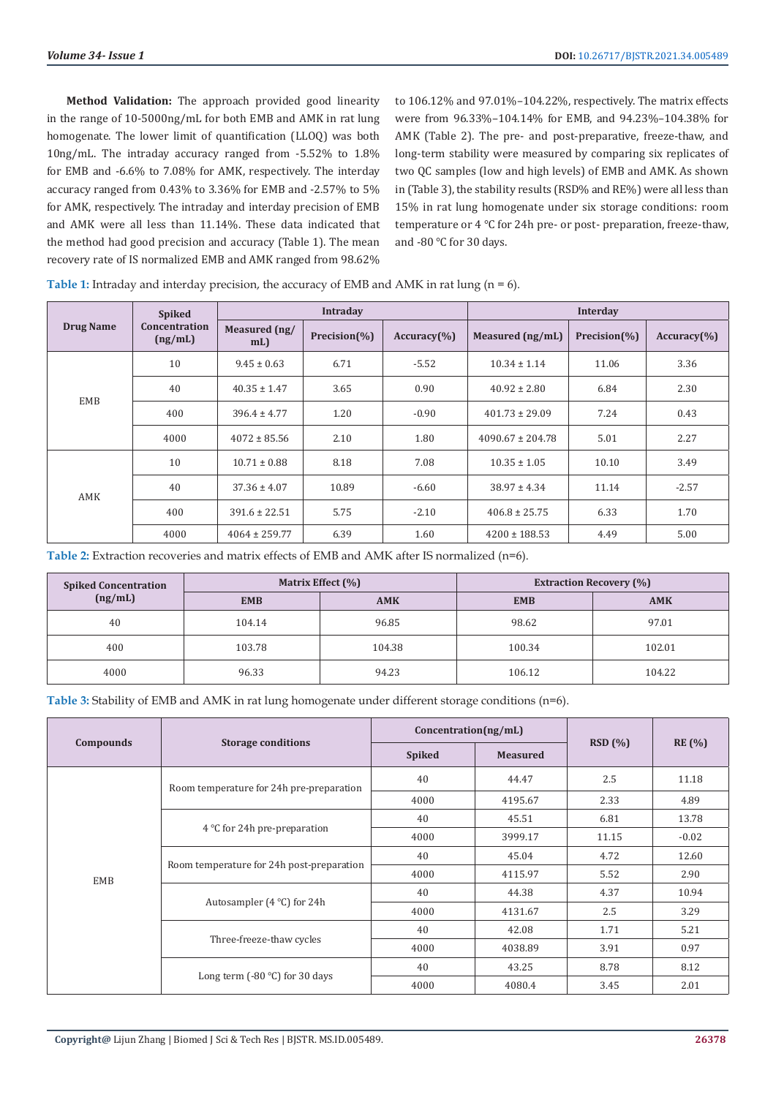**Method Validation:** The approach provided good linearity in the range of 10-5000ng/mL for both EMB and AMK in rat lung homogenate. The lower limit of quantification (LLOQ) was both 10ng/mL. The intraday accuracy ranged from -5.52% to 1.8% for EMB and -6.6% to 7.08% for AMK, respectively. The interday accuracy ranged from 0.43% to 3.36% for EMB and -2.57% to 5% for AMK, respectively. The intraday and interday precision of EMB and AMK were all less than 11.14%. These data indicated that the method had good precision and accuracy (Table 1). The mean recovery rate of IS normalized EMB and AMK ranged from 98.62%

to 106.12% and 97.01%–104.22%, respectively. The matrix effects were from 96.33%–104.14% for EMB, and 94.23%–104.38% for AMK (Table 2). The pre- and post-preparative, freeze-thaw, and long-term stability were measured by comparing six replicates of two QC samples (low and high levels) of EMB and AMK. As shown in (Table 3), the stability results (RSD% and RE%) were all less than 15% in rat lung homogenate under six storage conditions: room temperature or 4 ℃ for 24h pre- or post- preparation, freeze-thaw, and -80 ℃ for 30 days.

|                  | <b>Spiked</b>            |                      | <b>Intradav</b> |                           | <b>Interday</b>      |              |                |  |
|------------------|--------------------------|----------------------|-----------------|---------------------------|----------------------|--------------|----------------|--|
| <b>Drug Name</b> | Concentration<br>(ng/mL) | Measured (ng/<br>mL) | Precision(%)    | $Accuracy$ <sup>(%)</sup> | Measured (ng/mL)     | Precision(%) | $Accuracy$ (%) |  |
|                  | 10                       | $9.45 \pm 0.63$      | 6.71            | $-5.52$                   | $10.34 \pm 1.14$     | 11.06        | 3.36           |  |
| <b>EMB</b>       | 40                       | $40.35 \pm 1.47$     | 3.65            | 0.90                      | $40.92 \pm 2.80$     | 6.84         | 2.30           |  |
|                  | 400                      | $396.4 \pm 4.77$     | 1.20            | $-0.90$                   | $401.73 \pm 29.09$   | 7.24         | 0.43           |  |
|                  | 4000                     | $4072 \pm 85.56$     | 2.10            | 1.80                      | $4090.67 \pm 204.78$ | 5.01         | 2.27           |  |
|                  | 10                       | $10.71 \pm 0.88$     | 8.18            | 7.08                      | $10.35 \pm 1.05$     | 10.10        | 3.49           |  |
| AMK              | 40                       | $37.36 \pm 4.07$     | 10.89           | $-6.60$                   | $38.97 \pm 4.34$     | 11.14        | $-2.57$        |  |
|                  | 400                      | $391.6 \pm 22.51$    | 5.75            | $-2.10$                   | $406.8 \pm 25.75$    | 6.33         | 1.70           |  |
|                  | 4000                     | $4064 \pm 259.77$    | 6.39            | 1.60                      | $4200 \pm 188.53$    | 4.49         | 5.00           |  |

**Table 1:** Intraday and interday precision, the accuracy of EMB and AMK in rat lung (n = 6).

**Table 2:** Extraction recoveries and matrix effects of EMB and AMK after IS normalized (n=6).

| <b>Spiked Concentration</b><br>(ng/mL) |            | Matrix Effect (%) | <b>Extraction Recovery (%)</b> |            |  |  |
|----------------------------------------|------------|-------------------|--------------------------------|------------|--|--|
|                                        | <b>EMB</b> | <b>AMK</b>        | <b>EMB</b>                     | <b>AMK</b> |  |  |
| 40                                     | 104.14     | 96.85             | 98.62                          | 97.01      |  |  |
| 400                                    | 103.78     | 104.38            | 100.34                         | 102.01     |  |  |
| 4000                                   | 96.33      | 94.23             | 106.12                         | 104.22     |  |  |

**Table 3:** Stability of EMB and AMK in rat lung homogenate under different storage conditions (n=6).

|           |                                           | Concentration(ng/mL) |                 |        |               |  |
|-----------|-------------------------------------------|----------------------|-----------------|--------|---------------|--|
| Compounds | <b>Storage conditions</b>                 | <b>Spiked</b>        | <b>Measured</b> | RSD(%) | <b>RE</b> (%) |  |
|           | Room temperature for 24h pre-preparation  | 40                   | 44.47           | 2.5    | 11.18         |  |
|           |                                           | 4000                 | 4195.67         | 2.33   | 4.89          |  |
|           |                                           | 40                   | 45.51           | 6.81   | 13.78         |  |
|           | 4 $\degree$ C for 24h pre-preparation     | 4000                 | 3999.17         | 11.15  | $-0.02$       |  |
|           |                                           | 40                   | 45.04           | 4.72   | 12.60         |  |
| EMB       | Room temperature for 24h post-preparation | 4000                 | 4115.97         | 5.52   | 2.90          |  |
|           |                                           | 40                   | 44.38           | 4.37   | 10.94         |  |
|           | Autosampler $(4 °C)$ for 24h              | 4000                 | 4131.67         | 2.5    | 3.29          |  |
|           |                                           | 40                   | 42.08           | 1.71   | 5.21          |  |
|           | Three-freeze-thaw cycles                  | 4000                 | 4038.89         | 3.91   | 0.97          |  |
|           |                                           | 40                   | 43.25           | 8.78   | 8.12          |  |
|           | Long term $(-80 °C)$ for 30 days          | 4000                 | 4080.4          | 3.45   | 2.01          |  |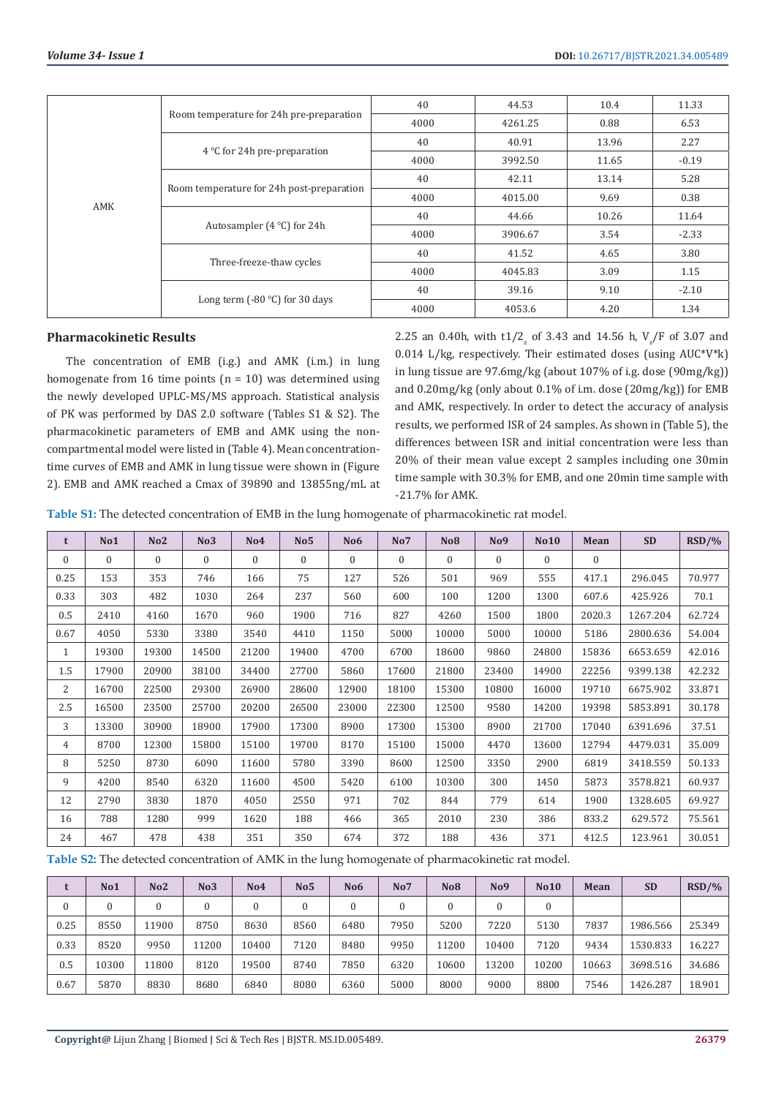|     |                                           | 40   | 44.53   | 10.4  | 11.33   |
|-----|-------------------------------------------|------|---------|-------|---------|
|     | Room temperature for 24h pre-preparation  | 4000 | 4261.25 | 0.88  | 6.53    |
|     |                                           | 40   | 40.91   | 13.96 | 2.27    |
|     | 4 °C for 24h pre-preparation              | 4000 | 3992.50 | 11.65 | $-0.19$ |
|     |                                           | 40   | 42.11   | 13.14 | 5.28    |
| AMK | Room temperature for 24h post-preparation | 4000 | 4015.00 | 9.69  | 0.38    |
|     |                                           | 40   | 44.66   | 10.26 | 11.64   |
|     | Autosampler $(4 °C)$ for 24h              | 4000 | 3906.67 | 3.54  | $-2.33$ |
|     | Three-freeze-thaw cycles                  | 40   | 41.52   | 4.65  | 3.80    |
|     |                                           | 4000 | 4045.83 | 3.09  | 1.15    |
|     | Long term $(-80 °C)$ for 30 days          | 40   | 39.16   | 9.10  | $-2.10$ |
|     |                                           | 4000 | 4053.6  | 4.20  | 1.34    |

# **Pharmacokinetic Results**

The concentration of EMB (i.g.) and AMK (i.m.) in lung homogenate from 16 time points  $(n = 10)$  was determined using the newly developed UPLC-MS/MS approach. Statistical analysis of PK was performed by DAS 2.0 software (Tables S1 & S2). The pharmacokinetic parameters of EMB and AMK using the noncompartmental model were listed in (Table 4). Mean concentrationtime curves of EMB and AMK in lung tissue were shown in (Figure 2). EMB and AMK reached a Cmax of 39890 and 13855ng/mL at 2.25 an 0.40h, with  $t1/2_{\rm z}$  of 3.43 and 14.56 h,  $V_{\rm z}/\rm F$  of 3.07 and 0.014 L/kg, respectively. Their estimated doses (using  $AUC^*V^*k$ ) in lung tissue are 97.6mg/kg (about 107% of i.g. dose (90mg/kg)) and 0.20mg/kg (only about 0.1% of i.m. dose (20mg/kg)) for EMB and AMK, respectively. In order to detect the accuracy of analysis results, we performed ISR of 24 samples. As shown in (Table 5), the differences between ISR and initial concentration were less than 20% of their mean value except 2 samples including one 30min time sample with 30.3% for EMB, and one 20min time sample with -21.7% for AMK.

**Table S1:** The detected concentration of EMB in the lung homogenate of pharmacokinetic rat model.

| t            | No1      | No <sub>2</sub> | No <sub>3</sub> | No <sub>4</sub> | No <sub>5</sub> | No <sub>6</sub> | No7      | <b>No8</b>     | No9          | <b>No10</b> | Mean           | <b>SD</b> | RSD/%  |
|--------------|----------|-----------------|-----------------|-----------------|-----------------|-----------------|----------|----------------|--------------|-------------|----------------|-----------|--------|
| $\mathbf{0}$ | $\Omega$ | $\Omega$        | $\mathbf{0}$    | $\Omega$        | $\overline{0}$  | $\mathbf{0}$    | $\Omega$ | $\overline{0}$ | $\mathbf{0}$ | $\Omega$    | $\overline{0}$ |           |        |
| 0.25         | 153      | 353             | 746             | 166             | 75              | 127             | 526      | 501            | 969          | 555         | 417.1          | 296.045   | 70.977 |
| 0.33         | 303      | 482             | 1030            | 264             | 237             | 560             | 600      | 100            | 1200         | 1300        | 607.6          | 425.926   | 70.1   |
| 0.5          | 2410     | 4160            | 1670            | 960             | 1900            | 716             | 827      | 4260           | 1500         | 1800        | 2020.3         | 1267.204  | 62.724 |
| 0.67         | 4050     | 5330            | 3380            | 3540            | 4410            | 1150            | 5000     | 10000          | 5000         | 10000       | 5186           | 2800.636  | 54.004 |
| $\mathbf{1}$ | 19300    | 19300           | 14500           | 21200           | 19400           | 4700            | 6700     | 18600          | 9860         | 24800       | 15836          | 6653.659  | 42.016 |
| 1.5          | 17900    | 20900           | 38100           | 34400           | 27700           | 5860            | 17600    | 21800          | 23400        | 14900       | 22256          | 9399.138  | 42.232 |
| 2            | 16700    | 22500           | 29300           | 26900           | 28600           | 12900           | 18100    | 15300          | 10800        | 16000       | 19710          | 6675.902  | 33.871 |
| 2.5          | 16500    | 23500           | 25700           | 20200           | 26500           | 23000           | 22300    | 12500          | 9580         | 14200       | 19398          | 5853.891  | 30.178 |
| 3            | 13300    | 30900           | 18900           | 17900           | 17300           | 8900            | 17300    | 15300          | 8900         | 21700       | 17040          | 6391.696  | 37.51  |
| 4            | 8700     | 12300           | 15800           | 15100           | 19700           | 8170            | 15100    | 15000          | 4470         | 13600       | 12794          | 4479.031  | 35.009 |
| 8            | 5250     | 8730            | 6090            | 11600           | 5780            | 3390            | 8600     | 12500          | 3350         | 2900        | 6819           | 3418.559  | 50.133 |
| 9            | 4200     | 8540            | 6320            | 11600           | 4500            | 5420            | 6100     | 10300          | 300          | 1450        | 5873           | 3578.821  | 60.937 |
| 12           | 2790     | 3830            | 1870            | 4050            | 2550            | 971             | 702      | 844            | 779          | 614         | 1900           | 1328.605  | 69.927 |
| 16           | 788      | 1280            | 999             | 1620            | 188             | 466             | 365      | 2010           | 230          | 386         | 833.2          | 629.572   | 75.561 |
| 24           | 467      | 478             | 438             | 351             | 350             | 674             | 372      | 188            | 436          | 371         | 412.5          | 123.961   | 30.051 |

**Table S2:** The detected concentration of AMK in the lung homogenate of pharmacokinetic rat model.

|      | No <sub>1</sub> | No2          | No3   | No4   | No5  | No <sub>6</sub> | No7  | <b>No8</b> | No9   | <b>No10</b> | Mean  | <b>SD</b> | $RSD/$ % |
|------|-----------------|--------------|-------|-------|------|-----------------|------|------------|-------|-------------|-------|-----------|----------|
|      |                 | $\mathbf{0}$ |       |       |      |                 |      | 0          |       |             |       |           |          |
| 0.25 | 8550            | 11900        | 8750  | 8630  | 8560 | 6480            | 7950 | 5200       | 7220  | 5130        | 7837  | 1986.566  | 25.349   |
| 0.33 | 8520            | 9950         | 11200 | 10400 | 7120 | 8480            | 9950 | 11200      | 10400 | 7120        | 9434  | 1530.833  | 16.227   |
| 0.5  | 10300           | 11800        | 8120  | 19500 | 8740 | 7850            | 6320 | 10600      | 13200 | 10200       | 10663 | 3698.516  | 34.686   |
| 0.67 | 5870            | 8830         | 8680  | 6840  | 8080 | 6360            | 5000 | 8000       | 9000  | 8800        | 7546  | 1426.287  | 18.901   |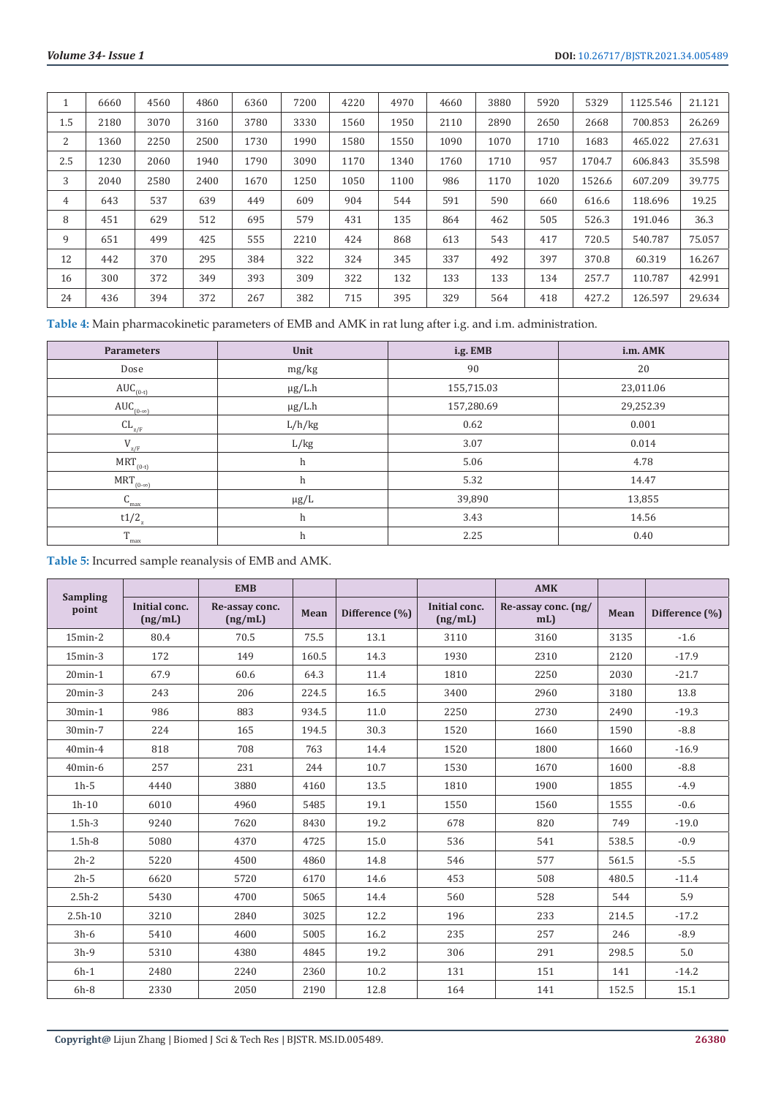|     | 6660 | 4560 | 4860 | 6360 | 7200 | 4220 | 4970 | 4660 | 3880 | 5920 | 5329   | 1125.546 | 21.121 |
|-----|------|------|------|------|------|------|------|------|------|------|--------|----------|--------|
| 1.5 | 2180 | 3070 | 3160 | 3780 | 3330 | 1560 | 1950 | 2110 | 2890 | 2650 | 2668   | 700.853  | 26.269 |
| 2   | 1360 | 2250 | 2500 | 1730 | 1990 | 1580 | 1550 | 1090 | 1070 | 1710 | 1683   | 465.022  | 27.631 |
| 2.5 | 1230 | 2060 | 1940 | 1790 | 3090 | 1170 | 1340 | 1760 | 1710 | 957  | 1704.7 | 606.843  | 35.598 |
| 3   | 2040 | 2580 | 2400 | 1670 | 1250 | 1050 | 1100 | 986  | 1170 | 1020 | 1526.6 | 607.209  | 39.775 |
| 4   | 643  | 537  | 639  | 449  | 609  | 904  | 544  | 591  | 590  | 660  | 616.6  | 118.696  | 19.25  |
| 8   | 451  | 629  | 512  | 695  | 579  | 431  | 135  | 864  | 462  | 505  | 526.3  | 191.046  | 36.3   |
| 9   | 651  | 499  | 425  | 555  | 2210 | 424  | 868  | 613  | 543  | 417  | 720.5  | 540.787  | 75.057 |
| 12  | 442  | 370  | 295  | 384  | 322  | 324  | 345  | 337  | 492  | 397  | 370.8  | 60.319   | 16.267 |
| 16  | 300  | 372  | 349  | 393  | 309  | 322  | 132  | 133  | 133  | 134  | 257.7  | 110.787  | 42.991 |
| 24  | 436  | 394  | 372  | 267  | 382  | 715  | 395  | 329  | 564  | 418  | 427.2  | 126.597  | 29.634 |

**Table 4:** Main pharmacokinetic parameters of EMB and AMK in rat lung after i.g. and i.m. administration.

| <b>Parameters</b>   | Unit        | i.g. EMB   | i.m. AMK  |
|---------------------|-------------|------------|-----------|
| Dose                | mg/kg       | 90         | 20        |
| $AUC_{(0-t)}$       | $\mu$ g/L.h | 155,715.03 | 23,011.06 |
| $AUC_{(0-\infty)}$  | $\mu$ g/L.h | 157,280.69 | 29,252.39 |
| $CL_{Z/F}$          | L/h/kg      | 0.62       | 0.001     |
| $\rm V_{z/F}$       | L/kg        | 3.07       | 0.014     |
| $MRT_{(0-t)}$       | h           | 5.06       | 4.78      |
| $MRT_{(0-\infty)}$  | h           | 5.32       | 14.47     |
| $C_{\text{max}}$    | $\mu g/L$   | 39,890     | 13,855    |
| $t1/2$ <sub>z</sub> | h           | 3.43       | 14.56     |
| $T_{\text{max}}$    | h           | 2.25       | 0.40      |

**Table 5:** Incurred sample reanalysis of EMB and AMK.

|                          |                          | <b>EMB</b>                |       |                |                          | <b>AMK</b>                    |       |                |
|--------------------------|--------------------------|---------------------------|-------|----------------|--------------------------|-------------------------------|-------|----------------|
| <b>Sampling</b><br>point | Initial conc.<br>(ng/mL) | Re-assay conc.<br>(ng/mL) | Mean  | Difference (%) | Initial conc.<br>(ng/mL) | Re-assay conc. (ng/<br>$mL$ ) | Mean  | Difference (%) |
| $15$ min- $2$            | 80.4                     | 70.5                      | 75.5  | 13.1           | 3110                     | 3160                          | 3135  | $-1.6$         |
| $15$ min- $3$            | 172                      | 149                       | 160.5 | 14.3           | 1930                     | 2310                          | 2120  | $-17.9$        |
| $20$ min- $1$            | 67.9                     | 60.6                      | 64.3  | 11.4           | 1810                     | 2250                          | 2030  | $-21.7$        |
| $20$ min- $3$            | 243                      | 206                       | 224.5 | 16.5           | 3400                     | 2960                          | 3180  | 13.8           |
| 30min-1                  | 986                      | 883                       | 934.5 | 11.0           | 2250                     | 2730                          | 2490  | $-19.3$        |
| 30min-7                  | 224                      | 165                       | 194.5 | 30.3           | 1520                     | 1660                          | 1590  | $-8.8$         |
| 40min-4                  | 818                      | 708                       | 763   | 14.4           | 1520                     | 1800                          | 1660  | $-16.9$        |
| 40min-6                  | 257                      | 231                       | 244   | 10.7           | 1530                     | 1670                          | 1600  | $-8.8$         |
| $1h-5$                   | 4440                     | 3880                      | 4160  | 13.5           | 1810                     | 1900                          | 1855  | $-4.9$         |
| $1h-10$                  | 6010                     | 4960                      | 5485  | 19.1           | 1550                     | 1560                          | 1555  | $-0.6$         |
| $1.5h-3$                 | 9240                     | 7620                      | 8430  | 19.2           | 678                      | 820                           | 749   | $-19.0$        |
| $1.5h-8$                 | 5080                     | 4370                      | 4725  | 15.0           | 536                      | 541                           | 538.5 | $-0.9$         |
| $2h-2$                   | 5220                     | 4500                      | 4860  | 14.8           | 546                      | 577                           | 561.5 | $-5.5$         |
| $2h-5$                   | 6620                     | 5720                      | 6170  | 14.6           | 453                      | 508                           | 480.5 | $-11.4$        |
| $2.5h-2$                 | 5430                     | 4700                      | 5065  | 14.4           | 560                      | 528                           | 544   | 5.9            |
| $2.5h-10$                | 3210                     | 2840                      | 3025  | 12.2           | 196                      | 233                           | 214.5 | $-17.2$        |
| $3h-6$                   | 5410                     | 4600                      | 5005  | 16.2           | 235                      | 257                           | 246   | $-8.9$         |
| $3h-9$                   | 5310                     | 4380                      | 4845  | 19.2           | 306                      | 291                           | 298.5 | 5.0            |
| $6h-1$                   | 2480                     | 2240                      | 2360  | 10.2           | 131                      | 151                           | 141   | $-14.2$        |
| $6h-8$                   | 2330                     | 2050                      | 2190  | 12.8           | 164                      | 141                           | 152.5 | 15.1           |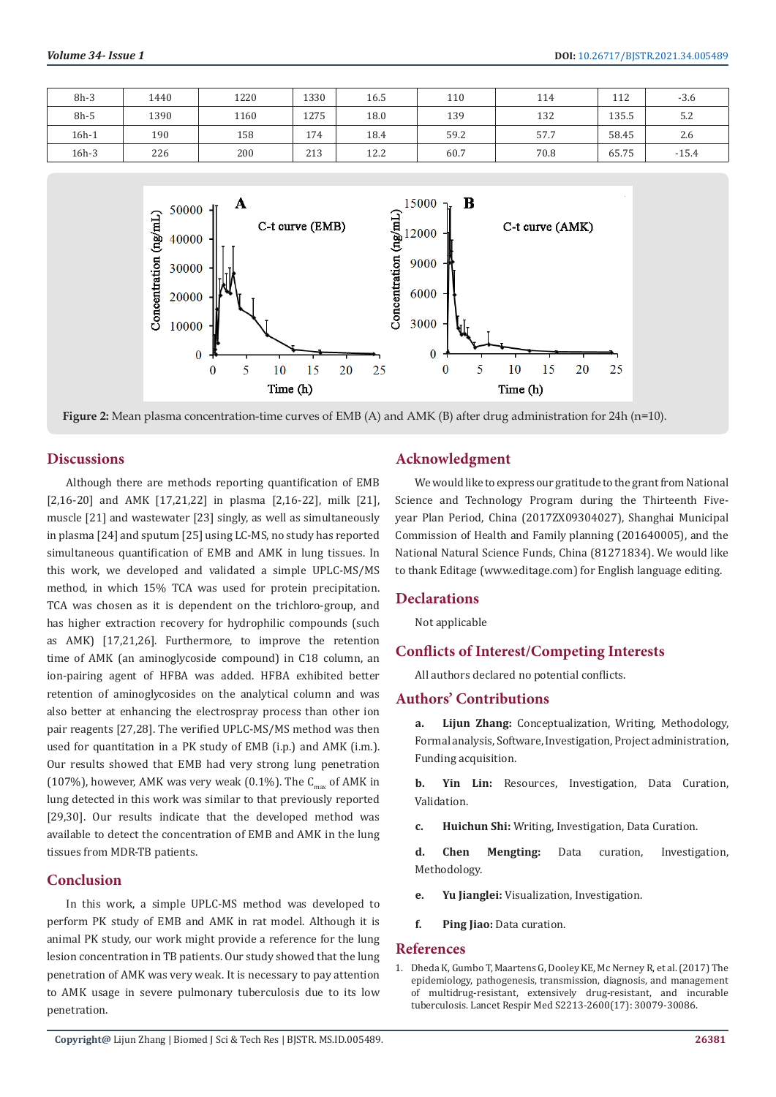| $8h-3$  | 1440 | 1220 | 1330 | 16.5 | 110  | 114  | 112   | $-3.6$  |
|---------|------|------|------|------|------|------|-------|---------|
| $8h-5$  | 1390 | 1160 | 1275 | 18.0 | 139  | 132  | 135.5 | 5.2     |
| $16h-1$ | 190  | 158  | 174  | 18.4 | 59.2 | 57.7 | 58.45 | 2.6     |
| 16h-3   | 226  | 200  | 213  | 12.2 | 60.7 | 70.8 | 65.75 | $-15.4$ |



**Figure 2:** Mean plasma concentration-time curves of EMB (A) and AMK (B) after drug administration for 24h (n=10).

# **Discussions**

Although there are methods reporting quantification of EMB [2,16-20] and AMK [17,21,22] in plasma [2,16-22], milk [21], muscle [21] and wastewater [23] singly, as well as simultaneously in plasma [24] and sputum [25] using LC-MS, no study has reported simultaneous quantification of EMB and AMK in lung tissues. In this work, we developed and validated a simple UPLC-MS/MS method, in which 15% TCA was used for protein precipitation. TCA was chosen as it is dependent on the trichloro-group, and has higher extraction recovery for hydrophilic compounds (such as AMK) [17,21,26]. Furthermore, to improve the retention time of AMK (an aminoglycoside compound) in C18 column, an ion-pairing agent of HFBA was added. HFBA exhibited better retention of aminoglycosides on the analytical column and was also better at enhancing the electrospray process than other ion pair reagents [27,28]. The verified UPLC-MS/MS method was then used for quantitation in a PK study of EMB (i.p.) and AMK (i.m.). Our results showed that EMB had very strong lung penetration (107%), however, AMK was very weak (0.1%). The  $C_{\text{max}}$  of AMK in lung detected in this work was similar to that previously reported [29,30]. Our results indicate that the developed method was available to detect the concentration of EMB and AMK in the lung tissues from MDR-TB patients.

# **Conclusion**

In this work, a simple UPLC-MS method was developed to perform PK study of EMB and AMK in rat model. Although it is animal PK study, our work might provide a reference for the lung lesion concentration in TB patients. Our study showed that the lung penetration of AMK was very weak. It is necessary to pay attention to AMK usage in severe pulmonary tuberculosis due to its low penetration.

# **Acknowledgment**

We would like to express our gratitude to the grant from National Science and Technology Program during the Thirteenth Fiveyear Plan Period, China (2017ZX09304027), Shanghai Municipal Commission of Health and Family planning (201640005), and the National Natural Science Funds, China (81271834). We would like to thank Editage (www.editage.com) for English language editing.

#### **Declarations**

Not applicable

# **Conflicts of Interest/Competing Interests**

All authors declared no potential conflicts.

# **Authors' Contributions**

**a. Lijun Zhang:** Conceptualization, Writing, Methodology, Formal analysis, Software, Investigation, Project administration, Funding acquisition.

**b. Yin Lin:** Resources, Investigation, Data Curation, Validation.

**c. Huichun Shi:** Writing, Investigation, Data Curation.

**d. Chen Mengting:** Data curation, Investigation, Methodology.

- **e. Yu Jianglei:** Visualization, Investigation.
- **f. Ping Jiao:** Data curation.

#### **References**

1. [Dheda K, Gumbo T, Maartens G, Dooley KE, Mc Nerney R, et al. \(2017\) The](https://pubmed.ncbi.nlm.nih.gov/28344011/) [epidemiology, pathogenesis, transmission, diagnosis, and management](https://pubmed.ncbi.nlm.nih.gov/28344011/) [of multidrug-resistant, extensively drug-resistant, and incurable](https://pubmed.ncbi.nlm.nih.gov/28344011/) [tuberculosis. Lancet Respir Med S2213-2600\(17\): 30079-30086.](https://pubmed.ncbi.nlm.nih.gov/28344011/)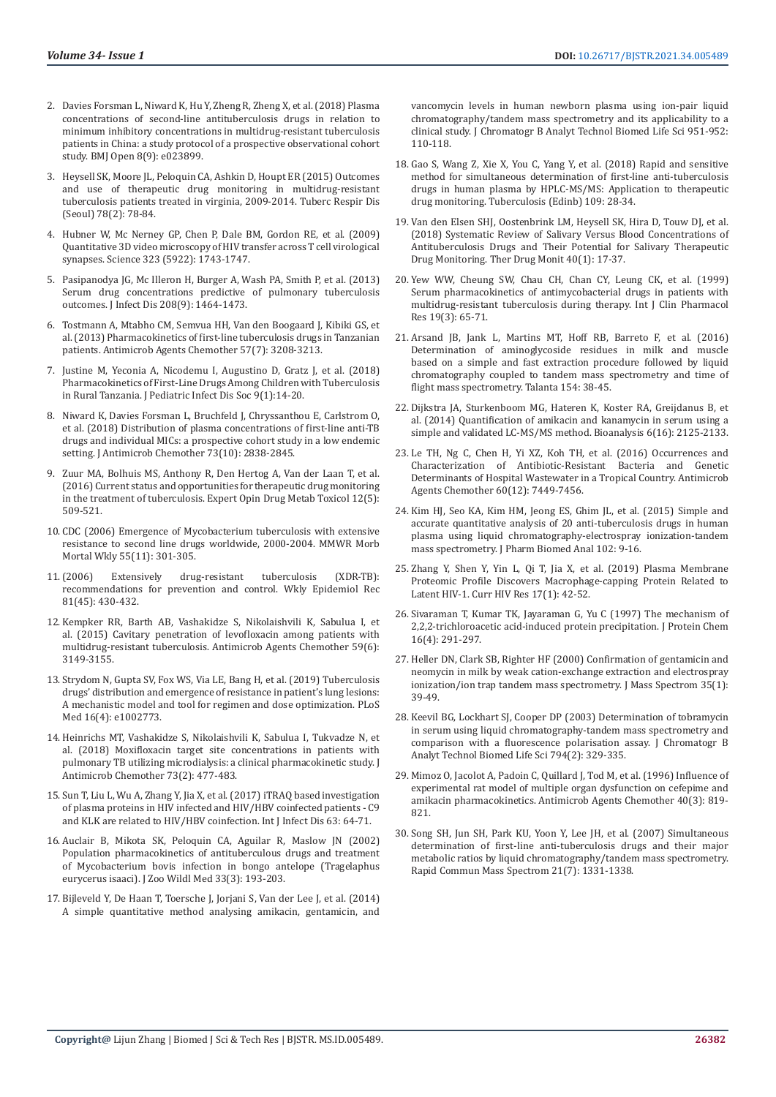- 2. [Davies Forsman L, Niward K, Hu Y, Zheng R, Zheng X, et al. \(2018\) Plasma](https://bmjopen.bmj.com/content/8/9/e023899)  [concentrations of second-line antituberculosis drugs in relation to](https://bmjopen.bmj.com/content/8/9/e023899)  [minimum inhibitory concentrations in multidrug-resistant tuberculosis](https://bmjopen.bmj.com/content/8/9/e023899)  [patients in China: a study protocol of a prospective observational cohort](https://bmjopen.bmj.com/content/8/9/e023899)  [study. BMJ Open 8\(9\): e023899.](https://bmjopen.bmj.com/content/8/9/e023899)
- 3. [Heysell SK, Moore JL, Peloquin CA, Ashkin D, Houpt ER \(2015\) Outcomes](https://pubmed.ncbi.nlm.nih.gov/25861340/)  [and use of therapeutic drug monitoring in multidrug-resistant](https://pubmed.ncbi.nlm.nih.gov/25861340/)  [tuberculosis patients treated in virginia, 2009-2014. Tuberc Respir Dis](https://pubmed.ncbi.nlm.nih.gov/25861340/)  [\(Seoul\) 78\(2\): 78-84.](https://pubmed.ncbi.nlm.nih.gov/25861340/)
- 4. [Hubner W, Mc Nerney GP, Chen P, Dale BM, Gordon RE, et al. \(2009\)](https://pub.uni-bielefeld.de/record/2576787)  [Quantitative 3D video microscopy of HIV transfer across T cell virological](https://pub.uni-bielefeld.de/record/2576787)  [synapses. Science 323 \(5922\): 1743-1747.](https://pub.uni-bielefeld.de/record/2576787)
- 5. [Pasipanodya JG, Mc Illeron H, Burger A, Wash PA, Smith P, et al. \(2013\)](https://www.ncbi.nlm.nih.gov/pmc/articles/PMC3789573/)  [Serum drug concentrations predictive of pulmonary tuberculosis](https://www.ncbi.nlm.nih.gov/pmc/articles/PMC3789573/)  [outcomes. J Infect Dis 208\(9\): 1464-1473.](https://www.ncbi.nlm.nih.gov/pmc/articles/PMC3789573/)
- 6. [Tostmann A, Mtabho CM, Semvua HH, Van den Boogaard J, Kibiki GS, et](https://pubmed.ncbi.nlm.nih.gov/23629715/)  [al. \(2013\) Pharmacokinetics of first-line tuberculosis drugs in Tanzanian](https://pubmed.ncbi.nlm.nih.gov/23629715/)  [patients. Antimicrob Agents Chemother 57\(7\): 3208-3213.](https://pubmed.ncbi.nlm.nih.gov/23629715/)
- 7. [Justine M, Yeconia A, Nicodemu I, Augustino D, Gratz J, et al. \(2018\)](https://pubmed.ncbi.nlm.nih.gov/30395239/)  [Pharmacokinetics of First-Line Drugs Among Children with Tuberculosis](https://pubmed.ncbi.nlm.nih.gov/30395239/)  [in Rural Tanzania. J Pediatric Infect Dis Soc 9\(1\):14-20.](https://pubmed.ncbi.nlm.nih.gov/30395239/)
- 8. [Niward K, Davies Forsman L, Bruchfeld J, Chryssanthou E, Carlstrom O,](https://pubmed.ncbi.nlm.nih.gov/30124844/)  [et al. \(2018\) Distribution of plasma concentrations of first-line anti-TB](https://pubmed.ncbi.nlm.nih.gov/30124844/)  [drugs and individual MICs: a prospective cohort study in a low endemic](https://pubmed.ncbi.nlm.nih.gov/30124844/)  [setting. J Antimicrob Chemother 73\(10\): 2838-2845.](https://pubmed.ncbi.nlm.nih.gov/30124844/)
- 9. [Zuur MA, Bolhuis MS, Anthony R, Den Hertog A, Van der Laan T, et al.](https://www.tandfonline.com/doi/full/10.1517/17425255.2016.1162785)  [\(2016\) Current status and opportunities for therapeutic drug monitoring](https://www.tandfonline.com/doi/full/10.1517/17425255.2016.1162785)  [in the treatment of tuberculosis. Expert Opin Drug Metab Toxicol 12\(5\):](https://www.tandfonline.com/doi/full/10.1517/17425255.2016.1162785)  [509-521.](https://www.tandfonline.com/doi/full/10.1517/17425255.2016.1162785)
- 10. [CDC \(2006\) Emergence of Mycobacterium tuberculosis with extensive](https://pubmed.ncbi.nlm.nih.gov/16557213/)  [resistance to second line drugs worldwide, 2000-2004. MMWR Morb](https://pubmed.ncbi.nlm.nih.gov/16557213/)  [Mortal Wkly 55\(11\): 301-305.](https://pubmed.ncbi.nlm.nih.gov/16557213/)
- 11.[\(2006\) Extensively drug-resistant tuberculosis \(XDR-TB\):](https://pubmed.ncbi.nlm.nih.gov/17096498/)  [recommendations for prevention and control. Wkly Epidemiol Rec](https://pubmed.ncbi.nlm.nih.gov/17096498/)  [81\(45\): 430-432.](https://pubmed.ncbi.nlm.nih.gov/17096498/)
- 12. [Kempker RR, Barth AB, Vashakidze S, Nikolaishvili K, Sabulua I, et](https://pubmed.ncbi.nlm.nih.gov/25779583/)  [al. \(2015\) Cavitary penetration of levofloxacin among patients with](https://pubmed.ncbi.nlm.nih.gov/25779583/)  [multidrug-resistant tuberculosis. Antimicrob Agents Chemother 59\(6\):](https://pubmed.ncbi.nlm.nih.gov/25779583/)  [3149-3155.](https://pubmed.ncbi.nlm.nih.gov/25779583/)
- 13. [Strydom N, Gupta SV, Fox WS, Via LE, Bang H, et al. \(2019\) Tuberculosis](https://pubmed.ncbi.nlm.nih.gov/30939136/)  [drugs' distribution and emergence of resistance in patient's lung lesions:](https://pubmed.ncbi.nlm.nih.gov/30939136/)  [A mechanistic model and tool for regimen and dose optimization. PLoS](https://pubmed.ncbi.nlm.nih.gov/30939136/)  [Med 16\(4\): e1002773.](https://pubmed.ncbi.nlm.nih.gov/30939136/)
- 14. [Heinrichs MT, Vashakidze S, Nikolaishvili K, Sabulua I, Tukvadze N, et](https://www.ncbi.nlm.nih.gov/pmc/articles/PMC5890684/)  [al. \(2018\) Moxifloxacin target site concentrations in patients with](https://www.ncbi.nlm.nih.gov/pmc/articles/PMC5890684/)  [pulmonary TB utilizing microdialysis: a clinical pharmacokinetic study. J](https://www.ncbi.nlm.nih.gov/pmc/articles/PMC5890684/)  [Antimicrob Chemother 73\(2\): 477-483.](https://www.ncbi.nlm.nih.gov/pmc/articles/PMC5890684/)
- 15. [Sun T, Liu L, Wu A, Zhang Y, Jia X, et al. \(2017\) iTRAQ based investigation](https://www.sciencedirect.com/science/article/pii/S1201971217302114)  [of plasma proteins in HIV infected and HIV/HBV coinfected patients - C9](https://www.sciencedirect.com/science/article/pii/S1201971217302114)  [and KLK are related to HIV/HBV coinfection. Int J Infect Dis 63: 64-71.](https://www.sciencedirect.com/science/article/pii/S1201971217302114)
- 16. [Auclair B, Mikota SK, Peloquin CA, Aguilar R, Maslow JN \(2002\)](https://bioone.org/journals/journal-of-zoo-and-wildlife-medicine/volume-33/issue-3/1042-7260(2002)033%5b0193%3aPPOADA%5d2.0.CO%3b2/POPULATION-PHARMACOKINETICS-OF-ANTITUBERCULOUS-DRUGS-AND-TREATMENT-OF-MYCOBACTERIUM-BOVIS/10.1638/1042-7260(2002)033%5b0193:PPOADA%5d2.0.CO;2.short)  [Population pharmacokinetics of antituberculous drugs and treatment](https://bioone.org/journals/journal-of-zoo-and-wildlife-medicine/volume-33/issue-3/1042-7260(2002)033%5b0193%3aPPOADA%5d2.0.CO%3b2/POPULATION-PHARMACOKINETICS-OF-ANTITUBERCULOUS-DRUGS-AND-TREATMENT-OF-MYCOBACTERIUM-BOVIS/10.1638/1042-7260(2002)033%5b0193:PPOADA%5d2.0.CO;2.short)  [of Mycobacterium bovis infection in bongo antelope \(Tragelaphus](https://bioone.org/journals/journal-of-zoo-and-wildlife-medicine/volume-33/issue-3/1042-7260(2002)033%5b0193%3aPPOADA%5d2.0.CO%3b2/POPULATION-PHARMACOKINETICS-OF-ANTITUBERCULOUS-DRUGS-AND-TREATMENT-OF-MYCOBACTERIUM-BOVIS/10.1638/1042-7260(2002)033%5b0193:PPOADA%5d2.0.CO;2.short)  [eurycerus isaaci\). J Zoo Wildl Med 33\(3\): 193-203.](https://bioone.org/journals/journal-of-zoo-and-wildlife-medicine/volume-33/issue-3/1042-7260(2002)033%5b0193%3aPPOADA%5d2.0.CO%3b2/POPULATION-PHARMACOKINETICS-OF-ANTITUBERCULOUS-DRUGS-AND-TREATMENT-OF-MYCOBACTERIUM-BOVIS/10.1638/1042-7260(2002)033%5b0193:PPOADA%5d2.0.CO;2.short)
- 17. [Bijleveld Y, De Haan T, Toersche J, Jorjani S, Van der Lee J, et al. \(2014\)](https://pubmed.ncbi.nlm.nih.gov/24548921/)  [A simple quantitative method analysing amikacin, gentamicin, and](https://pubmed.ncbi.nlm.nih.gov/24548921/)

[vancomycin levels in human newborn plasma using ion-pair liquid](https://pubmed.ncbi.nlm.nih.gov/24548921/) [chromatography/tandem mass spectrometry and its applicability to a](https://pubmed.ncbi.nlm.nih.gov/24548921/) [clinical study. J Chromatogr B Analyt Technol Biomed Life Sci 951-952:](https://pubmed.ncbi.nlm.nih.gov/24548921/) [110-118.](https://pubmed.ncbi.nlm.nih.gov/24548921/)

- 18. [Gao S, Wang Z, Xie X, You C, Yang Y, et al. \(2018\) Rapid and sensitive](https://pubmed.ncbi.nlm.nih.gov/29559118/) [method for simultaneous determination of first-line anti-tuberculosis](https://pubmed.ncbi.nlm.nih.gov/29559118/) [drugs in human plasma by HPLC-MS/MS: Application to therapeutic](https://pubmed.ncbi.nlm.nih.gov/29559118/) [drug monitoring. Tuberculosis \(Edinb\) 109: 28-34.](https://pubmed.ncbi.nlm.nih.gov/29559118/)
- 19. [Van den Elsen SHJ, Oostenbrink LM, Heysell SK, Hira D, Touw DJ, et al.](https://pubmed.ncbi.nlm.nih.gov/29120971/) [\(2018\) Systematic Review of Salivary Versus Blood Concentrations of](https://pubmed.ncbi.nlm.nih.gov/29120971/) [Antituberculosis Drugs and Their Potential for Salivary Therapeutic](https://pubmed.ncbi.nlm.nih.gov/29120971/) [Drug Monitoring. Ther Drug Monit 40\(1\): 17-37.](https://pubmed.ncbi.nlm.nih.gov/29120971/)
- 20. [Yew WW, Cheung SW, Chau CH, Chan CY, Leung CK, et al. \(1999\)](https://pubmed.ncbi.nlm.nih.gov/10761535/) [Serum pharmacokinetics of antimycobacterial drugs in patients with](https://pubmed.ncbi.nlm.nih.gov/10761535/) [multidrug-resistant tuberculosis during therapy. Int J Clin Pharmacol](https://pubmed.ncbi.nlm.nih.gov/10761535/) [Res 19\(3\): 65-71.](https://pubmed.ncbi.nlm.nih.gov/10761535/)
- 21. [Arsand JB, Jank L, Martins MT, Hoff RB, Barreto F, et al. \(2016\)](https://pubmed.ncbi.nlm.nih.gov/27154646/) [Determination of aminoglycoside residues in milk and muscle](https://pubmed.ncbi.nlm.nih.gov/27154646/) [based on a simple and fast extraction procedure followed by liquid](https://pubmed.ncbi.nlm.nih.gov/27154646/) [chromatography coupled to tandem mass spectrometry and time of](https://pubmed.ncbi.nlm.nih.gov/27154646/) [flight mass spectrometry. Talanta 154: 38-45.](https://pubmed.ncbi.nlm.nih.gov/27154646/)
- 22. [Dijkstra JA, Sturkenboom MG, Hateren K, Koster RA, Greijdanus B, et](https://europepmc.org/article/med/25331857) [al. \(2014\) Quantification of amikacin and kanamycin in serum using a](https://europepmc.org/article/med/25331857) [simple and validated LC-MS/MS method. Bioanalysis 6\(16\): 2125-2133.](https://europepmc.org/article/med/25331857)
- 23. [Le TH, Ng C, Chen H, Yi XZ, Koh TH, et al. \(2016\) Occurrences and](https://pubmed.ncbi.nlm.nih.gov/27736769/) [Characterization of Antibiotic-Resistant Bacteria and Genetic](https://pubmed.ncbi.nlm.nih.gov/27736769/) [Determinants of Hospital Wastewater in a Tropical Country. Antimicrob](https://pubmed.ncbi.nlm.nih.gov/27736769/) [Agents Chemother 60\(12\): 7449-7456.](https://pubmed.ncbi.nlm.nih.gov/27736769/)
- 24. [Kim HJ, Seo KA, Kim HM, Jeong ES, Ghim JL, et al. \(2015\) Simple and](https://pubmed.ncbi.nlm.nih.gov/25218029/) [accurate quantitative analysis of 20 anti-tuberculosis drugs in human](https://pubmed.ncbi.nlm.nih.gov/25218029/) [plasma using liquid chromatography-electrospray ionization-tandem](https://pubmed.ncbi.nlm.nih.gov/25218029/) [mass spectrometry. J Pharm Biomed Anal 102: 9-16.](https://pubmed.ncbi.nlm.nih.gov/25218029/)
- 25. [Zhang Y, Shen Y, Yin L, Qi T, Jia X, et al. \(2019\) Plasma Membrane](https://pubmed.ncbi.nlm.nih.gov/31057110/) [Proteomic Profile Discovers Macrophage-capping Protein Related to](https://pubmed.ncbi.nlm.nih.gov/31057110/) [Latent HIV-1. Curr HIV Res 17\(1\): 42-52.](https://pubmed.ncbi.nlm.nih.gov/31057110/)
- 26. [Sivaraman T, Kumar TK, Jayaraman G, Yu C \(1997\) The mechanism of](https://pubmed.ncbi.nlm.nih.gov/9188068/) [2,2,2-trichloroacetic acid-induced protein precipitation. J Protein Chem](https://pubmed.ncbi.nlm.nih.gov/9188068/) [16\(4\): 291-297.](https://pubmed.ncbi.nlm.nih.gov/9188068/)
- 27. [Heller DN, Clark SB, Righter HF \(2000\) Confirmation of gentamicin and](https://pubmed.ncbi.nlm.nih.gov/10633233/) [neomycin in milk by weak cation-exchange extraction and electrospray](https://pubmed.ncbi.nlm.nih.gov/10633233/) [ionization/ion trap tandem mass spectrometry. J Mass Spectrom 35\(1\):](https://pubmed.ncbi.nlm.nih.gov/10633233/) [39-49.](https://pubmed.ncbi.nlm.nih.gov/10633233/)
- 28. [Keevil BG, Lockhart SJ, Cooper DP \(2003\) Determination of tobramycin](http://europepmc.org/article/med/12954384) [in serum using liquid chromatography-tandem mass spectrometry and](http://europepmc.org/article/med/12954384) [comparison with a fluorescence polarisation assay. J Chromatogr B](http://europepmc.org/article/med/12954384) [Analyt Technol Biomed Life Sci 794\(2\): 329-335.](http://europepmc.org/article/med/12954384)
- 29. [Mimoz O, Jacolot A, Padoin C, Quillard J, Tod M, et al. \(1996\) Influence of](https://www.researchgate.net/publication/14353049_Influence_of_experimental_rat_model_of_multiple_organ_dysfunction_on_cefepime_and_amikacin_pharmacokinetics) [experimental rat model of multiple organ dysfunction on cefepime and](https://www.researchgate.net/publication/14353049_Influence_of_experimental_rat_model_of_multiple_organ_dysfunction_on_cefepime_and_amikacin_pharmacokinetics) [amikacin pharmacokinetics. Antimicrob Agents Chemother 40\(3\): 819-](https://www.researchgate.net/publication/14353049_Influence_of_experimental_rat_model_of_multiple_organ_dysfunction_on_cefepime_and_amikacin_pharmacokinetics) [821.](https://www.researchgate.net/publication/14353049_Influence_of_experimental_rat_model_of_multiple_organ_dysfunction_on_cefepime_and_amikacin_pharmacokinetics)
- 30. [Song SH, Jun SH, Park KU, Yoon Y, Lee JH, et al. \(2007\) Simultaneous](https://pubmed.ncbi.nlm.nih.gov/17340570/) [determination of first-line anti-tuberculosis drugs and their major](https://pubmed.ncbi.nlm.nih.gov/17340570/) [metabolic ratios by liquid chromatography/tandem mass spectrometry.](https://pubmed.ncbi.nlm.nih.gov/17340570/) [Rapid Commun Mass Spectrom 21\(7\): 1331-1338.](https://pubmed.ncbi.nlm.nih.gov/17340570/)